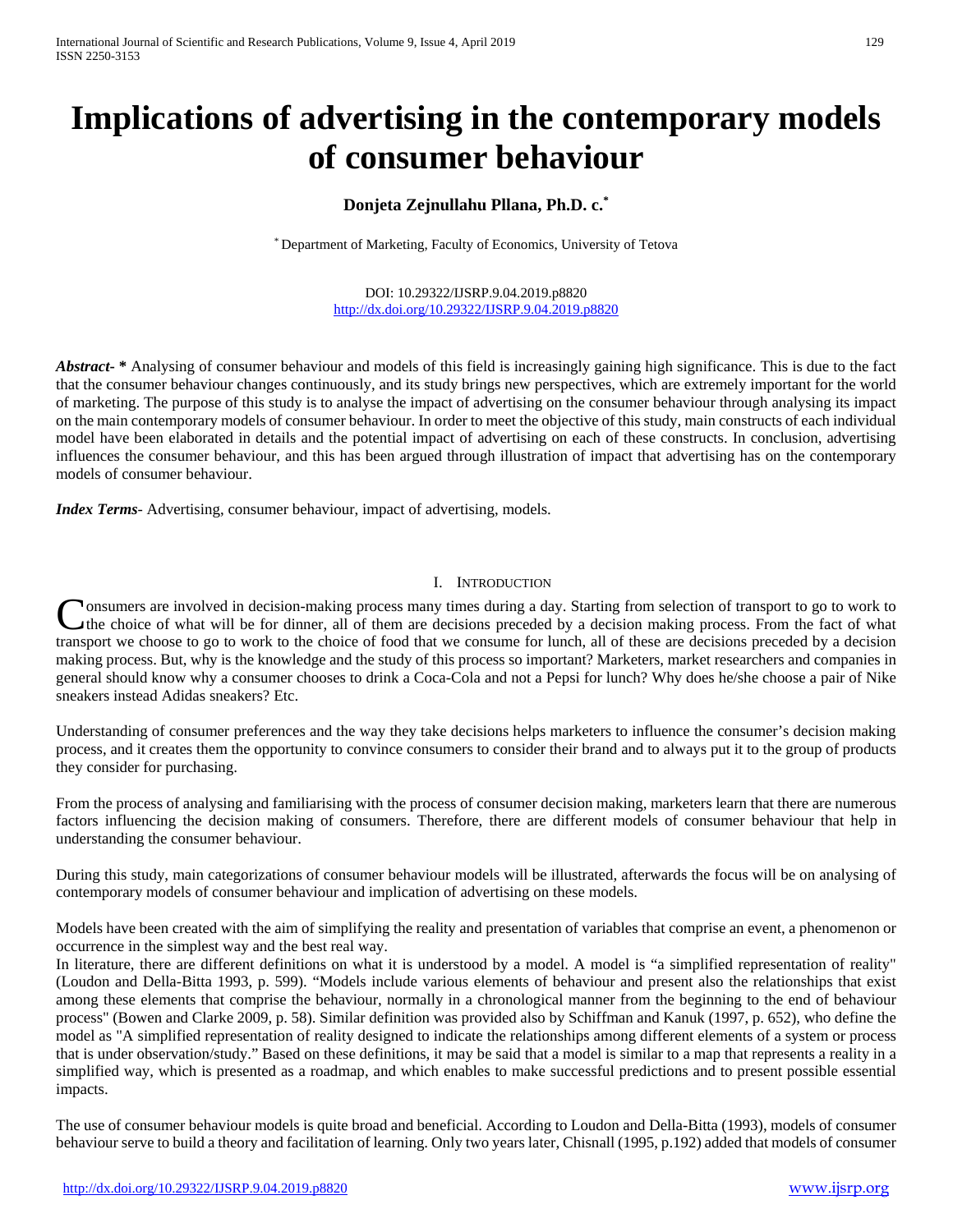# **Implications of advertising in the contemporary models of consumer behaviour**

# **Donjeta Zejnullahu Pllana, Ph.D. c.\***

\* Department of Marketing, Faculty of Economics, University of Tetova

DOI: 10.29322/IJSRP.9.04.2019.p8820 <http://dx.doi.org/10.29322/IJSRP.9.04.2019.p8820>

*Abstract***- \*** Analysing of consumer behaviour and models of this field is increasingly gaining high significance. This is due to the fact that the consumer behaviour changes continuously, and its study brings new perspectives, which are extremely important for the world of marketing. The purpose of this study is to analyse the impact of advertising on the consumer behaviour through analysing its impact on the main contemporary models of consumer behaviour. In order to meet the objective of this study, main constructs of each individual model have been elaborated in details and the potential impact of advertising on each of these constructs. In conclusion, advertising influences the consumer behaviour, and this has been argued through illustration of impact that advertising has on the contemporary models of consumer behaviour.

*Index Terms*- Advertising, consumer behaviour, impact of advertising, models.

### I. INTRODUCTION

**Tonsumers are involved in decision-making process many times during a day. Starting from selection of transport to go to work to** the choice of what will be for dinner, all of them are decisions preceded by a decision making process. From the fact of what Consumers are involved in decision-making process many times during a day. Starting from selection of transport to go to work to the choice of what will be for dinner, all of them are decisions preceded by a decision makin making process. But, why is the knowledge and the study of this process so important? Marketers, market researchers and companies in general should know why a consumer chooses to drink a Coca-Cola and not a Pepsi for lunch? Why does he/she choose a pair of Nike sneakers instead Adidas sneakers? Etc.

Understanding of consumer preferences and the way they take decisions helps marketers to influence the consumer's decision making process, and it creates them the opportunity to convince consumers to consider their brand and to always put it to the group of products they consider for purchasing.

From the process of analysing and familiarising with the process of consumer decision making, marketers learn that there are numerous factors influencing the decision making of consumers. Therefore, there are different models of consumer behaviour that help in understanding the consumer behaviour.

During this study, main categorizations of consumer behaviour models will be illustrated, afterwards the focus will be on analysing of contemporary models of consumer behaviour and implication of advertising on these models.

Models have been created with the aim of simplifying the reality and presentation of variables that comprise an event, a phenomenon or occurrence in the simplest way and the best real way.

In literature, there are different definitions on what it is understood by a model. A model is "a simplified representation of reality" (Loudon and Della-Bitta 1993, p. 599). "Models include various elements of behaviour and present also the relationships that exist among these elements that comprise the behaviour, normally in a chronological manner from the beginning to the end of behaviour process" (Bowen and Clarke 2009, p. 58). Similar definition was provided also by Schiffman and Kanuk (1997, p. 652), who define the model as "A simplified representation of reality designed to indicate the relationships among different elements of a system or process that is under observation/study." Based on these definitions, it may be said that a model is similar to a map that represents a reality in a simplified way, which is presented as a roadmap, and which enables to make successful predictions and to present possible essential impacts.

The use of consumer behaviour models is quite broad and beneficial. According to Loudon and Della-Bitta (1993), models of consumer behaviour serve to build a theory and facilitation of learning. Only two years later, Chisnall (1995, p.192) added that models of consumer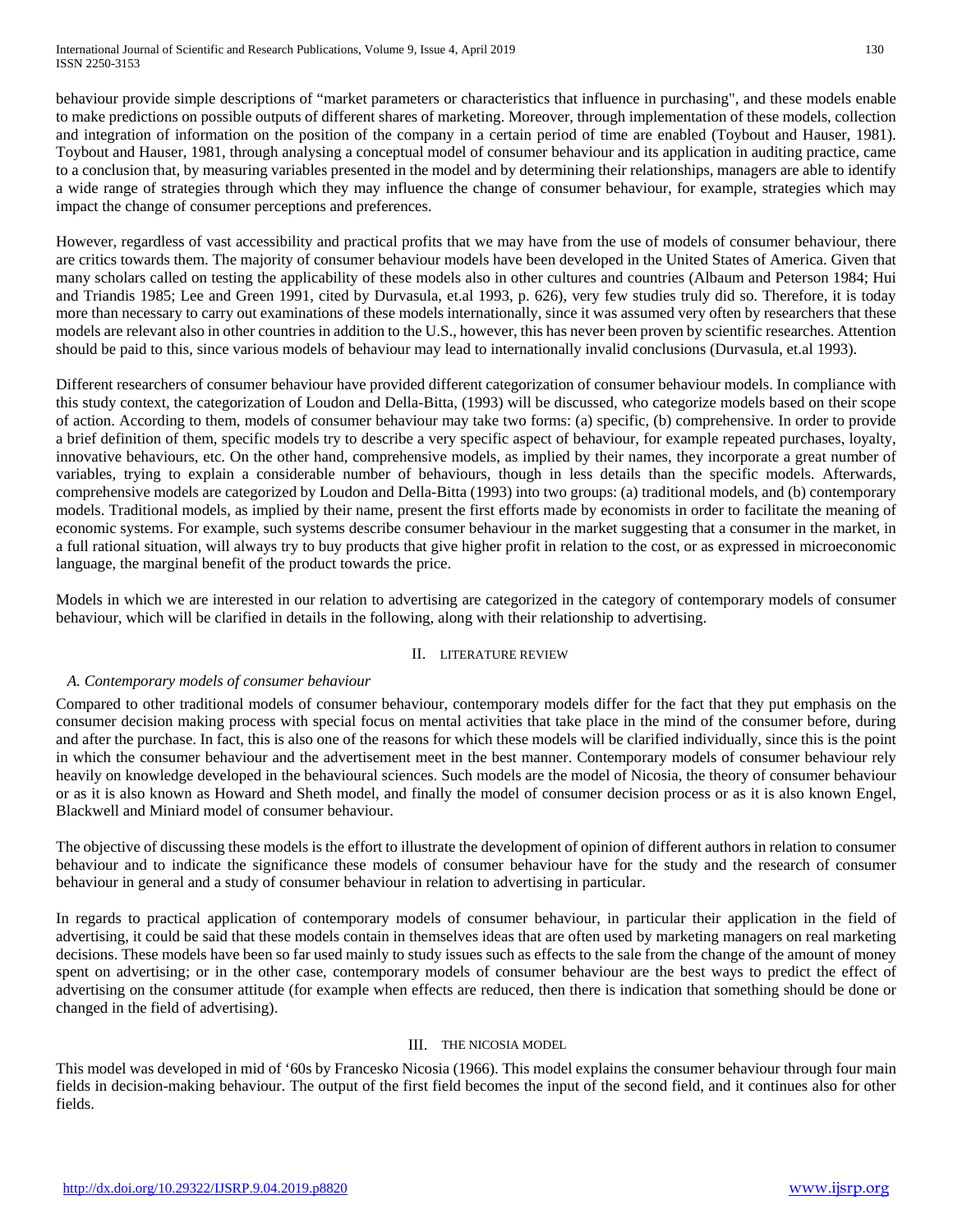behaviour provide simple descriptions of "market parameters or characteristics that influence in purchasing", and these models enable to make predictions on possible outputs of different shares of marketing. Moreover, through implementation of these models, collection and integration of information on the position of the company in a certain period of time are enabled (Toybout and Hauser, 1981). Toybout and Hauser, 1981, through analysing a conceptual model of consumer behaviour and its application in auditing practice, came to a conclusion that, by measuring variables presented in the model and by determining their relationships, managers are able to identify a wide range of strategies through which they may influence the change of consumer behaviour, for example, strategies which may impact the change of consumer perceptions and preferences.

However, regardless of vast accessibility and practical profits that we may have from the use of models of consumer behaviour, there are critics towards them. The majority of consumer behaviour models have been developed in the United States of America. Given that many scholars called on testing the applicability of these models also in other cultures and countries (Albaum and Peterson 1984; Hui and Triandis 1985; Lee and Green 1991, cited by Durvasula, et.al 1993, p. 626), very few studies truly did so. Therefore, it is today more than necessary to carry out examinations of these models internationally, since it was assumed very often by researchers that these models are relevant also in other countries in addition to the U.S., however, this has never been proven by scientific researches. Attention should be paid to this, since various models of behaviour may lead to internationally invalid conclusions (Durvasula, et.al 1993).

Different researchers of consumer behaviour have provided different categorization of consumer behaviour models. In compliance with this study context, the categorization of Loudon and Della-Bitta, (1993) will be discussed, who categorize models based on their scope of action. According to them, models of consumer behaviour may take two forms: (a) specific, (b) comprehensive. In order to provide a brief definition of them, specific models try to describe a very specific aspect of behaviour, for example repeated purchases, loyalty, innovative behaviours, etc. On the other hand, comprehensive models, as implied by their names, they incorporate a great number of variables, trying to explain a considerable number of behaviours, though in less details than the specific models. Afterwards, comprehensive models are categorized by Loudon and Della-Bitta (1993) into two groups: (a) traditional models, and (b) contemporary models. Traditional models, as implied by their name, present the first efforts made by economists in order to facilitate the meaning of economic systems. For example, such systems describe consumer behaviour in the market suggesting that a consumer in the market, in a full rational situation, will always try to buy products that give higher profit in relation to the cost, or as expressed in microeconomic language, the marginal benefit of the product towards the price.

Models in which we are interested in our relation to advertising are categorized in the category of contemporary models of consumer behaviour, which will be clarified in details in the following, along with their relationship to advertising.

#### II. LITERATURE REVIEW

## *A. Contemporary models of consumer behaviour*

Compared to other traditional models of consumer behaviour, contemporary models differ for the fact that they put emphasis on the consumer decision making process with special focus on mental activities that take place in the mind of the consumer before, during and after the purchase. In fact, this is also one of the reasons for which these models will be clarified individually, since this is the point in which the consumer behaviour and the advertisement meet in the best manner. Contemporary models of consumer behaviour rely heavily on knowledge developed in the behavioural sciences. Such models are the model of Nicosia, the theory of consumer behaviour or as it is also known as Howard and Sheth model, and finally the model of consumer decision process or as it is also known Engel, Blackwell and Miniard model of consumer behaviour.

The objective of discussing these models is the effort to illustrate the development of opinion of different authors in relation to consumer behaviour and to indicate the significance these models of consumer behaviour have for the study and the research of consumer behaviour in general and a study of consumer behaviour in relation to advertising in particular.

In regards to practical application of contemporary models of consumer behaviour, in particular their application in the field of advertising, it could be said that these models contain in themselves ideas that are often used by marketing managers on real marketing decisions. These models have been so far used mainly to study issues such as effects to the sale from the change of the amount of money spent on advertising; or in the other case, contemporary models of consumer behaviour are the best ways to predict the effect of advertising on the consumer attitude (for example when effects are reduced, then there is indication that something should be done or changed in the field of advertising).

#### III. THE NICOSIA MODEL

This model was developed in mid of '60s by Francesko Nicosia (1966). This model explains the consumer behaviour through four main fields in decision-making behaviour. The output of the first field becomes the input of the second field, and it continues also for other fields.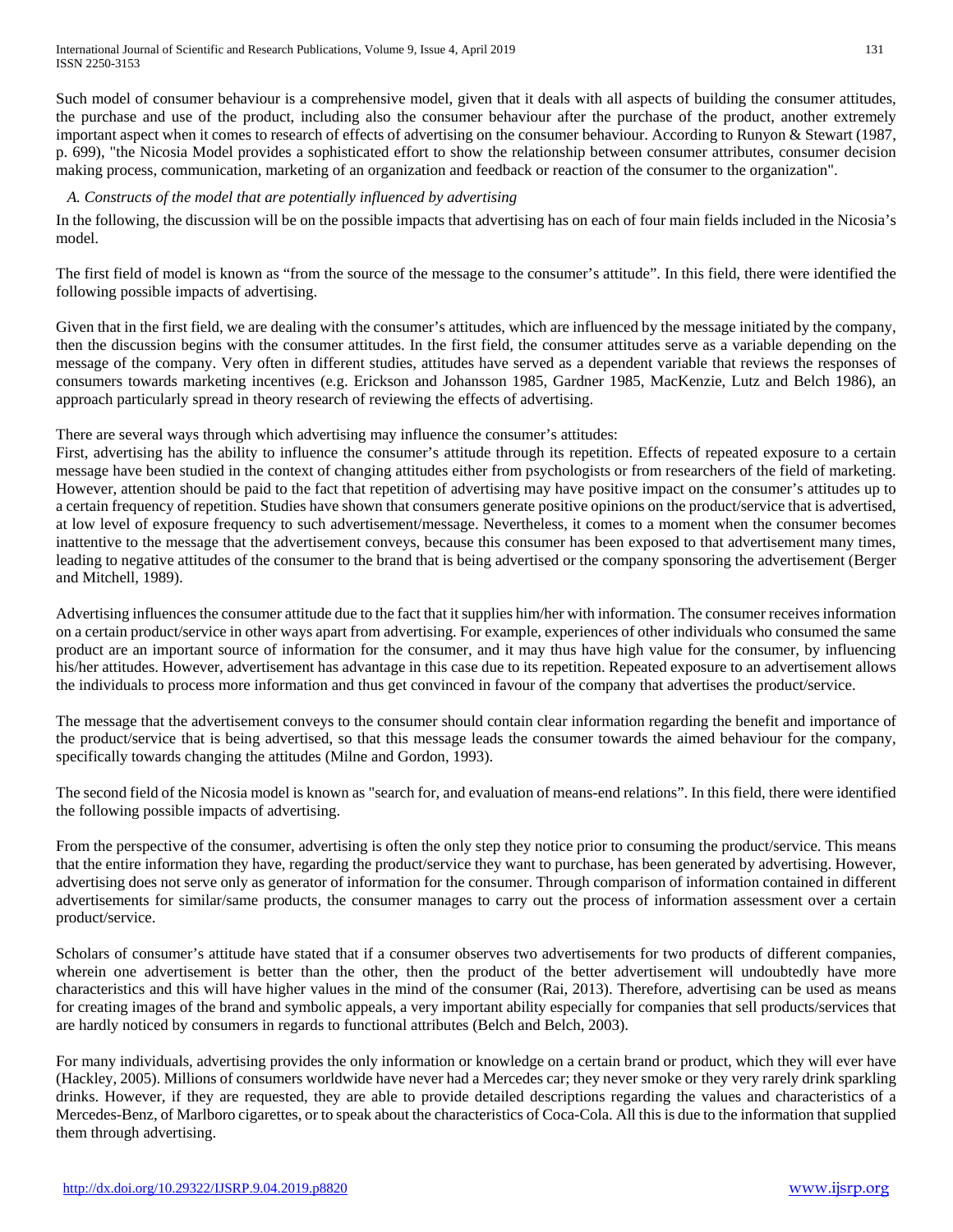Such model of consumer behaviour is a comprehensive model, given that it deals with all aspects of building the consumer attitudes, the purchase and use of the product, including also the consumer behaviour after the purchase of the product, another extremely important aspect when it comes to research of effects of advertising on the consumer behaviour. According to Runyon & Stewart (1987, p. 699), "the Nicosia Model provides a sophisticated effort to show the relationship between consumer attributes, consumer decision making process, communication, marketing of an organization and feedback or reaction of the consumer to the organization".

#### *A. Constructs of the model that are potentially influenced by advertising*

In the following, the discussion will be on the possible impacts that advertising has on each of four main fields included in the Nicosia's model.

The first field of model is known as "from the source of the message to the consumer's attitude". In this field, there were identified the following possible impacts of advertising.

Given that in the first field, we are dealing with the consumer's attitudes, which are influenced by the message initiated by the company, then the discussion begins with the consumer attitudes. In the first field, the consumer attitudes serve as a variable depending on the message of the company. Very often in different studies, attitudes have served as a dependent variable that reviews the responses of consumers towards marketing incentives (e.g. Erickson and Johansson 1985, Gardner 1985, MacKenzie, Lutz and Belch 1986), an approach particularly spread in theory research of reviewing the effects of advertising.

There are several ways through which advertising may influence the consumer's attitudes:

First, advertising has the ability to influence the consumer's attitude through its repetition. Effects of repeated exposure to a certain message have been studied in the context of changing attitudes either from psychologists or from researchers of the field of marketing. However, attention should be paid to the fact that repetition of advertising may have positive impact on the consumer's attitudes up to a certain frequency of repetition. Studies have shown that consumers generate positive opinions on the product/service that is advertised, at low level of exposure frequency to such advertisement/message. Nevertheless, it comes to a moment when the consumer becomes inattentive to the message that the advertisement conveys, because this consumer has been exposed to that advertisement many times, leading to negative attitudes of the consumer to the brand that is being advertised or the company sponsoring the advertisement (Berger and Mitchell, 1989).

Advertising influences the consumer attitude due to the fact that it supplies him/her with information. The consumer receives information on a certain product/service in other ways apart from advertising. For example, experiences of other individuals who consumed the same product are an important source of information for the consumer, and it may thus have high value for the consumer, by influencing his/her attitudes. However, advertisement has advantage in this case due to its repetition. Repeated exposure to an advertisement allows the individuals to process more information and thus get convinced in favour of the company that advertises the product/service.

The message that the advertisement conveys to the consumer should contain clear information regarding the benefit and importance of the product/service that is being advertised, so that this message leads the consumer towards the aimed behaviour for the company, specifically towards changing the attitudes (Milne and Gordon, 1993).

The second field of the Nicosia model is known as "search for, and evaluation of means-end relations". In this field, there were identified the following possible impacts of advertising.

From the perspective of the consumer, advertising is often the only step they notice prior to consuming the product/service. This means that the entire information they have, regarding the product/service they want to purchase, has been generated by advertising. However, advertising does not serve only as generator of information for the consumer. Through comparison of information contained in different advertisements for similar/same products, the consumer manages to carry out the process of information assessment over a certain product/service.

Scholars of consumer's attitude have stated that if a consumer observes two advertisements for two products of different companies, wherein one advertisement is better than the other, then the product of the better advertisement will undoubtedly have more characteristics and this will have higher values in the mind of the consumer (Rai, 2013). Therefore, advertising can be used as means for creating images of the brand and symbolic appeals, a very important ability especially for companies that sell products/services that are hardly noticed by consumers in regards to functional attributes (Belch and Belch, 2003).

For many individuals, advertising provides the only information or knowledge on a certain brand or product, which they will ever have (Hackley, 2005). Millions of consumers worldwide have never had a Mercedes car; they never smoke or they very rarely drink sparkling drinks. However, if they are requested, they are able to provide detailed descriptions regarding the values and characteristics of a Mercedes-Benz, of Marlboro cigarettes, or to speak about the characteristics of Coca-Cola. All this is due to the information that supplied them through advertising.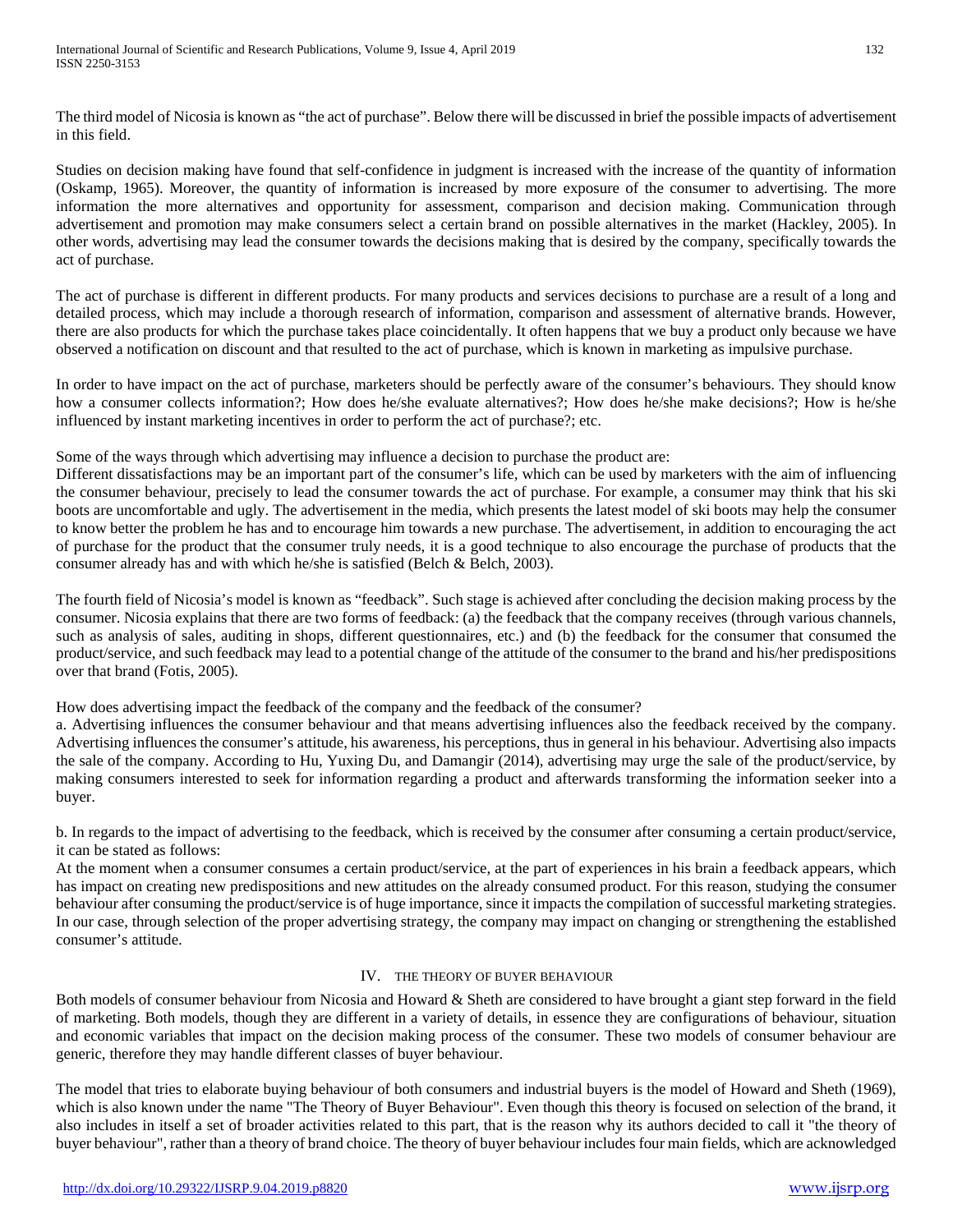The third model of Nicosia is known as "the act of purchase". Below there will be discussed in brief the possible impacts of advertisement in this field.

Studies on decision making have found that self-confidence in judgment is increased with the increase of the quantity of information (Oskamp, 1965). Moreover, the quantity of information is increased by more exposure of the consumer to advertising. The more information the more alternatives and opportunity for assessment, comparison and decision making. Communication through advertisement and promotion may make consumers select a certain brand on possible alternatives in the market (Hackley, 2005). In other words, advertising may lead the consumer towards the decisions making that is desired by the company, specifically towards the act of purchase.

The act of purchase is different in different products. For many products and services decisions to purchase are a result of a long and detailed process, which may include a thorough research of information, comparison and assessment of alternative brands. However, there are also products for which the purchase takes place coincidentally. It often happens that we buy a product only because we have observed a notification on discount and that resulted to the act of purchase, which is known in marketing as impulsive purchase.

In order to have impact on the act of purchase, marketers should be perfectly aware of the consumer's behaviours. They should know how a consumer collects information?; How does he/she evaluate alternatives?; How does he/she make decisions?; How is he/she influenced by instant marketing incentives in order to perform the act of purchase?; etc.

Some of the ways through which advertising may influence a decision to purchase the product are:

Different dissatisfactions may be an important part of the consumer's life, which can be used by marketers with the aim of influencing the consumer behaviour, precisely to lead the consumer towards the act of purchase. For example, a consumer may think that his ski boots are uncomfortable and ugly. The advertisement in the media, which presents the latest model of ski boots may help the consumer to know better the problem he has and to encourage him towards a new purchase. The advertisement, in addition to encouraging the act of purchase for the product that the consumer truly needs, it is a good technique to also encourage the purchase of products that the consumer already has and with which he/she is satisfied (Belch & Belch, 2003).

The fourth field of Nicosia's model is known as "feedback". Such stage is achieved after concluding the decision making process by the consumer. Nicosia explains that there are two forms of feedback: (a) the feedback that the company receives (through various channels, such as analysis of sales, auditing in shops, different questionnaires, etc.) and (b) the feedback for the consumer that consumed the product/service, and such feedback may lead to a potential change of the attitude of the consumer to the brand and his/her predispositions over that brand (Fotis, 2005).

How does advertising impact the feedback of the company and the feedback of the consumer?

a. Advertising influences the consumer behaviour and that means advertising influences also the feedback received by the company. Advertising influences the consumer's attitude, his awareness, his perceptions, thus in general in his behaviour. Advertising also impacts the sale of the company. According to Hu, Yuxing Du, and Damangir (2014), advertising may urge the sale of the product/service, by making consumers interested to seek for information regarding a product and afterwards transforming the information seeker into a buyer.

b. In regards to the impact of advertising to the feedback, which is received by the consumer after consuming a certain product/service, it can be stated as follows:

At the moment when a consumer consumes a certain product/service, at the part of experiences in his brain a feedback appears, which has impact on creating new predispositions and new attitudes on the already consumed product. For this reason, studying the consumer behaviour after consuming the product/service is of huge importance, since it impacts the compilation of successful marketing strategies. In our case, through selection of the proper advertising strategy, the company may impact on changing or strengthening the established consumer's attitude.

## IV. THE THEORY OF BUYER BEHAVIOUR

Both models of consumer behaviour from Nicosia and Howard & Sheth are considered to have brought a giant step forward in the field of marketing. Both models, though they are different in a variety of details, in essence they are configurations of behaviour, situation and economic variables that impact on the decision making process of the consumer. These two models of consumer behaviour are generic, therefore they may handle different classes of buyer behaviour.

The model that tries to elaborate buying behaviour of both consumers and industrial buyers is the model of Howard and Sheth (1969), which is also known under the name "The Theory of Buyer Behaviour". Even though this theory is focused on selection of the brand, it also includes in itself a set of broader activities related to this part, that is the reason why its authors decided to call it "the theory of buyer behaviour", rather than a theory of brand choice. The theory of buyer behaviour includes four main fields, which are acknowledged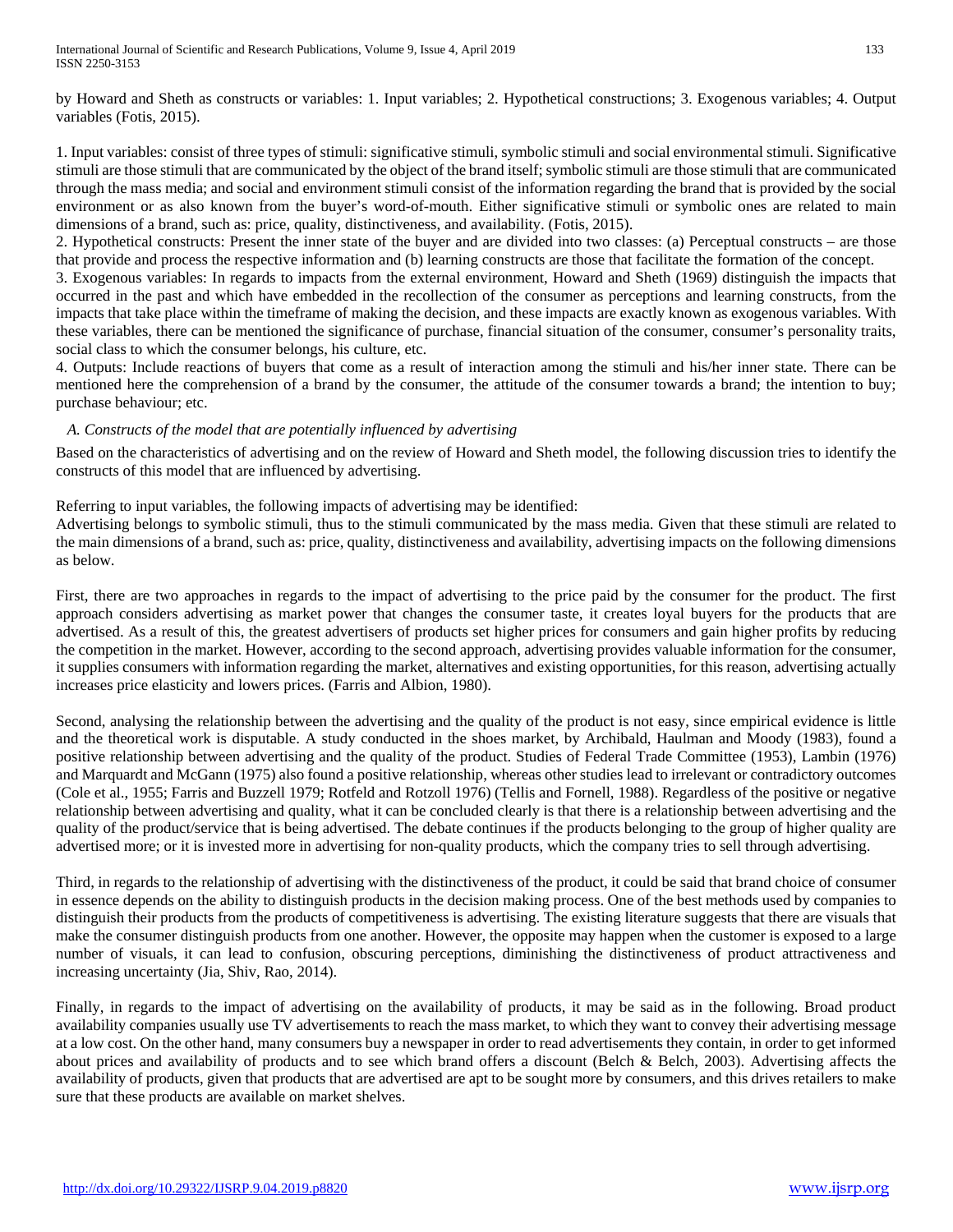by Howard and Sheth as constructs or variables: 1. Input variables; 2. Hypothetical constructions; 3. Exogenous variables; 4. Output variables (Fotis, 2015).

1. Input variables: consist of three types of stimuli: significative stimuli, symbolic stimuli and social environmental stimuli. Significative stimuli are those stimuli that are communicated by the object of the brand itself; symbolic stimuli are those stimuli that are communicated through the mass media; and social and environment stimuli consist of the information regarding the brand that is provided by the social environment or as also known from the buyer's word-of-mouth. Either significative stimuli or symbolic ones are related to main dimensions of a brand, such as: price, quality, distinctiveness, and availability. (Fotis, 2015).

2. Hypothetical constructs: Present the inner state of the buyer and are divided into two classes: (a) Perceptual constructs – are those that provide and process the respective information and (b) learning constructs are those that facilitate the formation of the concept.

3. Exogenous variables: In regards to impacts from the external environment, Howard and Sheth (1969) distinguish the impacts that occurred in the past and which have embedded in the recollection of the consumer as perceptions and learning constructs, from the impacts that take place within the timeframe of making the decision, and these impacts are exactly known as exogenous variables. With these variables, there can be mentioned the significance of purchase, financial situation of the consumer, consumer's personality traits, social class to which the consumer belongs, his culture, etc.

4. Outputs: Include reactions of buyers that come as a result of interaction among the stimuli and his/her inner state. There can be mentioned here the comprehension of a brand by the consumer, the attitude of the consumer towards a brand; the intention to buy; purchase behaviour; etc.

# *A. Constructs of the model that are potentially influenced by advertising*

Based on the characteristics of advertising and on the review of Howard and Sheth model, the following discussion tries to identify the constructs of this model that are influenced by advertising.

Referring to input variables, the following impacts of advertising may be identified:

Advertising belongs to symbolic stimuli, thus to the stimuli communicated by the mass media. Given that these stimuli are related to the main dimensions of a brand, such as: price, quality, distinctiveness and availability, advertising impacts on the following dimensions as below.

First, there are two approaches in regards to the impact of advertising to the price paid by the consumer for the product. The first approach considers advertising as market power that changes the consumer taste, it creates loyal buyers for the products that are advertised. As a result of this, the greatest advertisers of products set higher prices for consumers and gain higher profits by reducing the competition in the market. However, according to the second approach, advertising provides valuable information for the consumer, it supplies consumers with information regarding the market, alternatives and existing opportunities, for this reason, advertising actually increases price elasticity and lowers prices. (Farris and Albion, 1980).

Second, analysing the relationship between the advertising and the quality of the product is not easy, since empirical evidence is little and the theoretical work is disputable. A study conducted in the shoes market, by Archibald, Haulman and Moody (1983), found a positive relationship between advertising and the quality of the product. Studies of Federal Trade Committee (1953), Lambin (1976) and Marquardt and McGann (1975) also found a positive relationship, whereas other studies lead to irrelevant or contradictory outcomes (Cole et al., 1955; Farris and Buzzell 1979; Rotfeld and Rotzoll 1976) (Tellis and Fornell, 1988). Regardless of the positive or negative relationship between advertising and quality, what it can be concluded clearly is that there is a relationship between advertising and the quality of the product/service that is being advertised. The debate continues if the products belonging to the group of higher quality are advertised more; or it is invested more in advertising for non-quality products, which the company tries to sell through advertising.

Third, in regards to the relationship of advertising with the distinctiveness of the product, it could be said that brand choice of consumer in essence depends on the ability to distinguish products in the decision making process. One of the best methods used by companies to distinguish their products from the products of competitiveness is advertising. The existing literature suggests that there are visuals that make the consumer distinguish products from one another. However, the opposite may happen when the customer is exposed to a large number of visuals, it can lead to confusion, obscuring perceptions, diminishing the distinctiveness of product attractiveness and increasing uncertainty (Jia, Shiv, Rao, 2014).

Finally, in regards to the impact of advertising on the availability of products, it may be said as in the following. Broad product availability companies usually use TV advertisements to reach the mass market, to which they want to convey their advertising message at a low cost. On the other hand, many consumers buy a newspaper in order to read advertisements they contain, in order to get informed about prices and availability of products and to see which brand offers a discount (Belch & Belch, 2003). Advertising affects the availability of products, given that products that are advertised are apt to be sought more by consumers, and this drives retailers to make sure that these products are available on market shelves.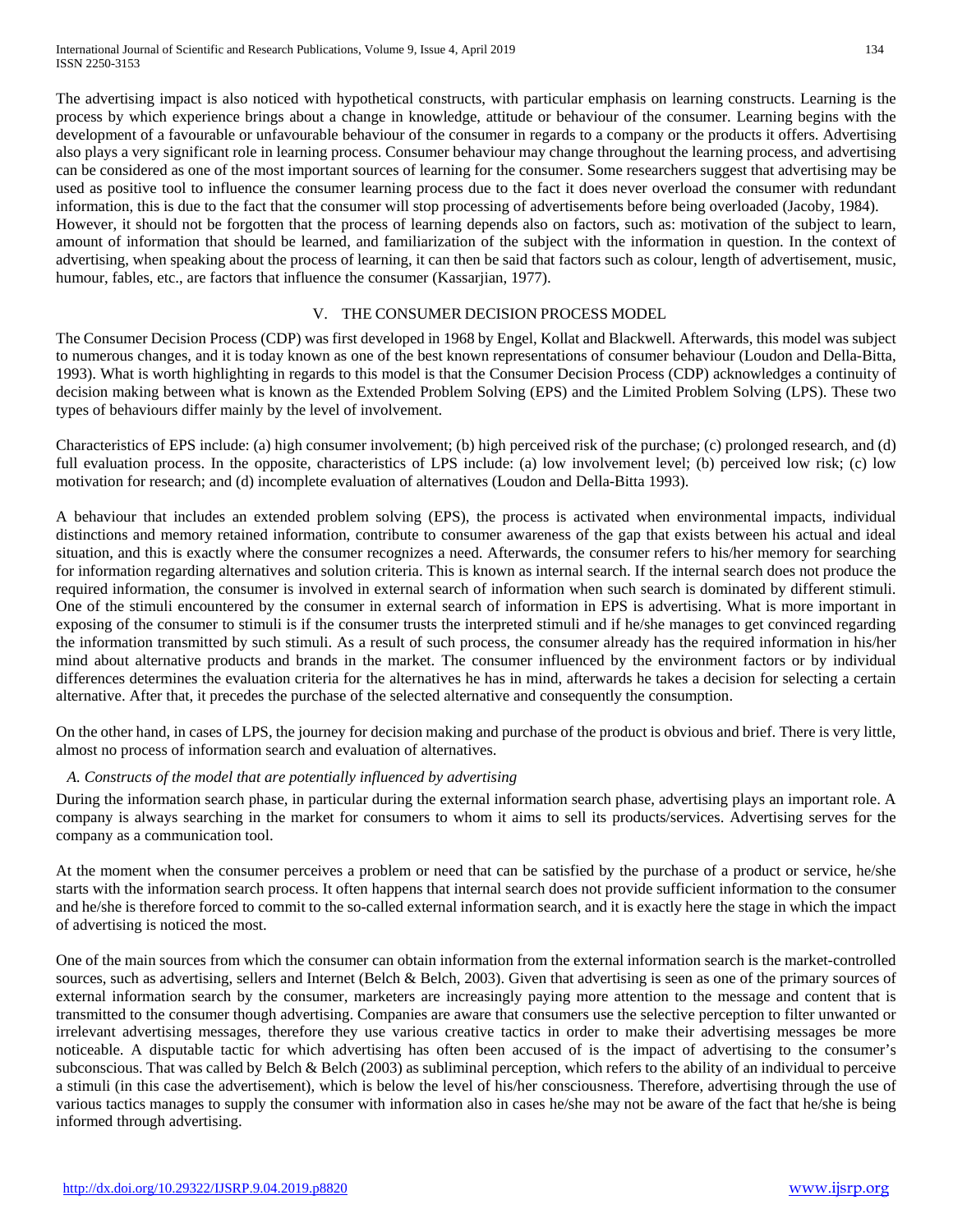The advertising impact is also noticed with hypothetical constructs, with particular emphasis on learning constructs. Learning is the process by which experience brings about a change in knowledge, attitude or behaviour of the consumer. Learning begins with the development of a favourable or unfavourable behaviour of the consumer in regards to a company or the products it offers. Advertising also plays a very significant role in learning process. Consumer behaviour may change throughout the learning process, and advertising can be considered as one of the most important sources of learning for the consumer. Some researchers suggest that advertising may be used as positive tool to influence the consumer learning process due to the fact it does never overload the consumer with redundant information, this is due to the fact that the consumer will stop processing of advertisements before being overloaded (Jacoby, 1984). However, it should not be forgotten that the process of learning depends also on factors, such as: motivation of the subject to learn, amount of information that should be learned, and familiarization of the subject with the information in question. In the context of advertising, when speaking about the process of learning, it can then be said that factors such as colour, length of advertisement, music, humour, fables, etc., are factors that influence the consumer (Kassariian, 1977).

# V. THE CONSUMER DECISION PROCESS MODEL

The Consumer Decision Process (CDP) was first developed in 1968 by Engel, Kollat and Blackwell. Afterwards, this model was subject to numerous changes, and it is today known as one of the best known representations of consumer behaviour (Loudon and Della-Bitta, 1993). What is worth highlighting in regards to this model is that the Consumer Decision Process (CDP) acknowledges a continuity of decision making between what is known as the Extended Problem Solving (EPS) and the Limited Problem Solving (LPS). These two types of behaviours differ mainly by the level of involvement.

Characteristics of EPS include: (a) high consumer involvement; (b) high perceived risk of the purchase; (c) prolonged research, and (d) full evaluation process. In the opposite, characteristics of LPS include: (a) low involvement level; (b) perceived low risk; (c) low motivation for research; and (d) incomplete evaluation of alternatives (Loudon and Della-Bitta 1993).

A behaviour that includes an extended problem solving (EPS), the process is activated when environmental impacts, individual distinctions and memory retained information, contribute to consumer awareness of the gap that exists between his actual and ideal situation, and this is exactly where the consumer recognizes a need. Afterwards, the consumer refers to his/her memory for searching for information regarding alternatives and solution criteria. This is known as internal search. If the internal search does not produce the required information, the consumer is involved in external search of information when such search is dominated by different stimuli. One of the stimuli encountered by the consumer in external search of information in EPS is advertising. What is more important in exposing of the consumer to stimuli is if the consumer trusts the interpreted stimuli and if he/she manages to get convinced regarding the information transmitted by such stimuli. As a result of such process, the consumer already has the required information in his/her mind about alternative products and brands in the market. The consumer influenced by the environment factors or by individual differences determines the evaluation criteria for the alternatives he has in mind, afterwards he takes a decision for selecting a certain alternative. After that, it precedes the purchase of the selected alternative and consequently the consumption.

On the other hand, in cases of LPS, the journey for decision making and purchase of the product is obvious and brief. There is very little, almost no process of information search and evaluation of alternatives.

#### *A. Constructs of the model that are potentially influenced by advertising*

During the information search phase, in particular during the external information search phase, advertising plays an important role. A company is always searching in the market for consumers to whom it aims to sell its products/services. Advertising serves for the company as a communication tool.

At the moment when the consumer perceives a problem or need that can be satisfied by the purchase of a product or service, he/she starts with the information search process. It often happens that internal search does not provide sufficient information to the consumer and he/she is therefore forced to commit to the so-called external information search, and it is exactly here the stage in which the impact of advertising is noticed the most.

One of the main sources from which the consumer can obtain information from the external information search is the market-controlled sources, such as advertising, sellers and Internet (Belch & Belch, 2003). Given that advertising is seen as one of the primary sources of external information search by the consumer, marketers are increasingly paying more attention to the message and content that is transmitted to the consumer though advertising. Companies are aware that consumers use the selective perception to filter unwanted or irrelevant advertising messages, therefore they use various creative tactics in order to make their advertising messages be more noticeable. A disputable tactic for which advertising has often been accused of is the impact of advertising to the consumer's subconscious. That was called by Belch & Belch (2003) as subliminal perception, which refers to the ability of an individual to perceive a stimuli (in this case the advertisement), which is below the level of his/her consciousness. Therefore, advertising through the use of various tactics manages to supply the consumer with information also in cases he/she may not be aware of the fact that he/she is being informed through advertising.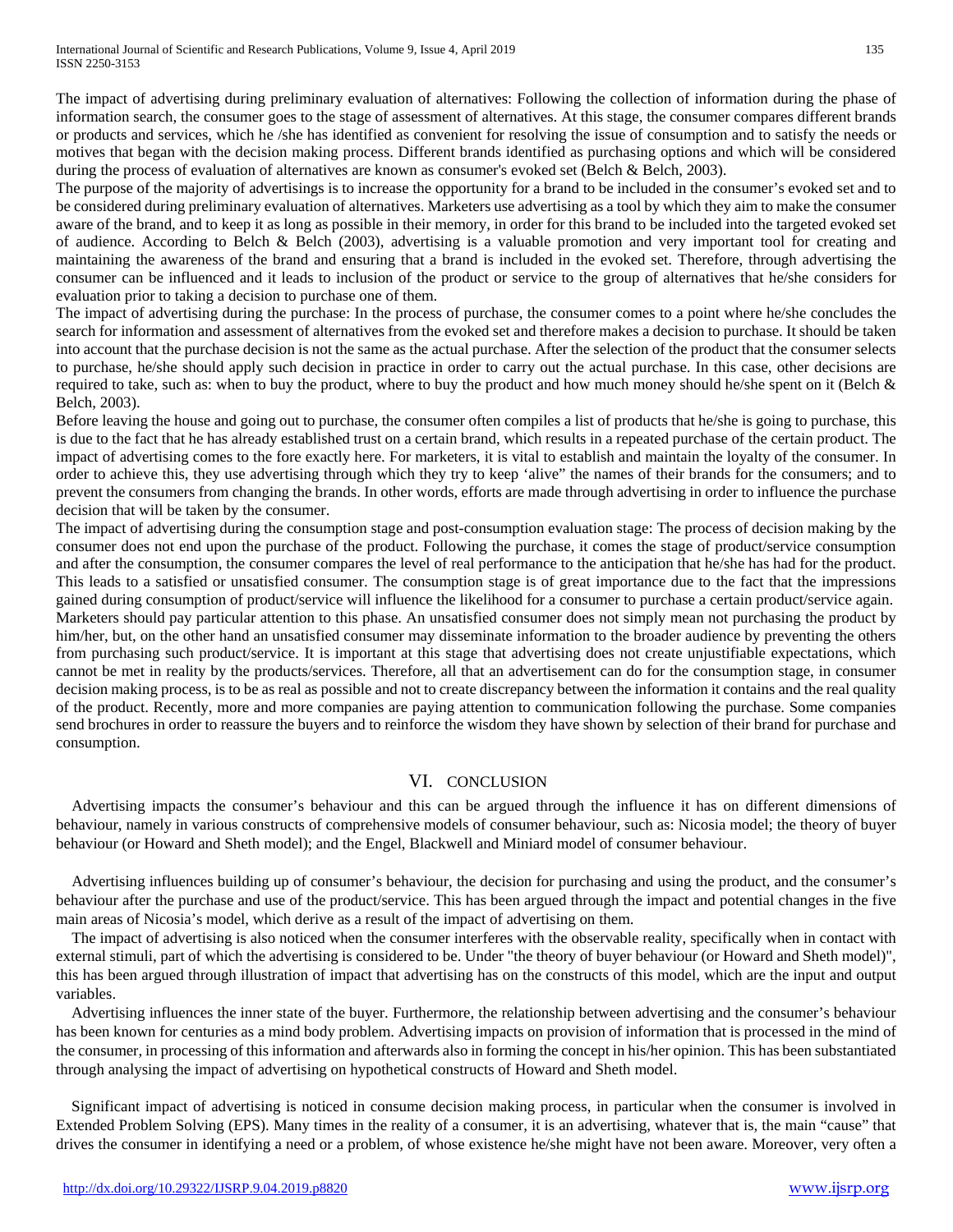The impact of advertising during preliminary evaluation of alternatives: Following the collection of information during the phase of information search, the consumer goes to the stage of assessment of alternatives. At this stage, the consumer compares different brands or products and services, which he /she has identified as convenient for resolving the issue of consumption and to satisfy the needs or motives that began with the decision making process. Different brands identified as purchasing options and which will be considered during the process of evaluation of alternatives are known as consumer's evoked set (Belch & Belch, 2003).

The purpose of the majority of advertisings is to increase the opportunity for a brand to be included in the consumer's evoked set and to be considered during preliminary evaluation of alternatives. Marketers use advertising as a tool by which they aim to make the consumer aware of the brand, and to keep it as long as possible in their memory, in order for this brand to be included into the targeted evoked set of audience. According to Belch & Belch (2003), advertising is a valuable promotion and very important tool for creating and maintaining the awareness of the brand and ensuring that a brand is included in the evoked set. Therefore, through advertising the consumer can be influenced and it leads to inclusion of the product or service to the group of alternatives that he/she considers for evaluation prior to taking a decision to purchase one of them.

The impact of advertising during the purchase: In the process of purchase, the consumer comes to a point where he/she concludes the search for information and assessment of alternatives from the evoked set and therefore makes a decision to purchase. It should be taken into account that the purchase decision is not the same as the actual purchase. After the selection of the product that the consumer selects to purchase, he/she should apply such decision in practice in order to carry out the actual purchase. In this case, other decisions are required to take, such as: when to buy the product, where to buy the product and how much money should he/she spent on it (Belch  $\&$ Belch, 2003).

Before leaving the house and going out to purchase, the consumer often compiles a list of products that he/she is going to purchase, this is due to the fact that he has already established trust on a certain brand, which results in a repeated purchase of the certain product. The impact of advertising comes to the fore exactly here. For marketers, it is vital to establish and maintain the loyalty of the consumer. In order to achieve this, they use advertising through which they try to keep 'alive" the names of their brands for the consumers; and to prevent the consumers from changing the brands. In other words, efforts are made through advertising in order to influence the purchase decision that will be taken by the consumer.

The impact of advertising during the consumption stage and post-consumption evaluation stage: The process of decision making by the consumer does not end upon the purchase of the product. Following the purchase, it comes the stage of product/service consumption and after the consumption, the consumer compares the level of real performance to the anticipation that he/she has had for the product. This leads to a satisfied or unsatisfied consumer. The consumption stage is of great importance due to the fact that the impressions gained during consumption of product/service will influence the likelihood for a consumer to purchase a certain product/service again. Marketers should pay particular attention to this phase. An unsatisfied consumer does not simply mean not purchasing the product by him/her, but, on the other hand an unsatisfied consumer may disseminate information to the broader audience by preventing the others from purchasing such product/service. It is important at this stage that advertising does not create unjustifiable expectations, which cannot be met in reality by the products/services. Therefore, all that an advertisement can do for the consumption stage, in consumer decision making process, is to be as real as possible and not to create discrepancy between the information it contains and the real quality of the product. Recently, more and more companies are paying attention to communication following the purchase. Some companies send brochures in order to reassure the buyers and to reinforce the wisdom they have shown by selection of their brand for purchase and consumption.

# VI. CONCLUSION

Advertising impacts the consumer's behaviour and this can be argued through the influence it has on different dimensions of behaviour, namely in various constructs of comprehensive models of consumer behaviour, such as: Nicosia model; the theory of buyer behaviour (or Howard and Sheth model); and the Engel, Blackwell and Miniard model of consumer behaviour.

Advertising influences building up of consumer's behaviour, the decision for purchasing and using the product, and the consumer's behaviour after the purchase and use of the product/service. This has been argued through the impact and potential changes in the five main areas of Nicosia's model, which derive as a result of the impact of advertising on them.

The impact of advertising is also noticed when the consumer interferes with the observable reality, specifically when in contact with external stimuli, part of which the advertising is considered to be. Under "the theory of buyer behaviour (or Howard and Sheth model)", this has been argued through illustration of impact that advertising has on the constructs of this model, which are the input and output variables.

Advertising influences the inner state of the buyer. Furthermore, the relationship between advertising and the consumer's behaviour has been known for centuries as a mind body problem. Advertising impacts on provision of information that is processed in the mind of the consumer, in processing of this information and afterwards also in forming the concept in his/her opinion. This has been substantiated through analysing the impact of advertising on hypothetical constructs of Howard and Sheth model.

Significant impact of advertising is noticed in consume decision making process, in particular when the consumer is involved in Extended Problem Solving (EPS). Many times in the reality of a consumer, it is an advertising, whatever that is, the main "cause" that drives the consumer in identifying a need or a problem, of whose existence he/she might have not been aware. Moreover, very often a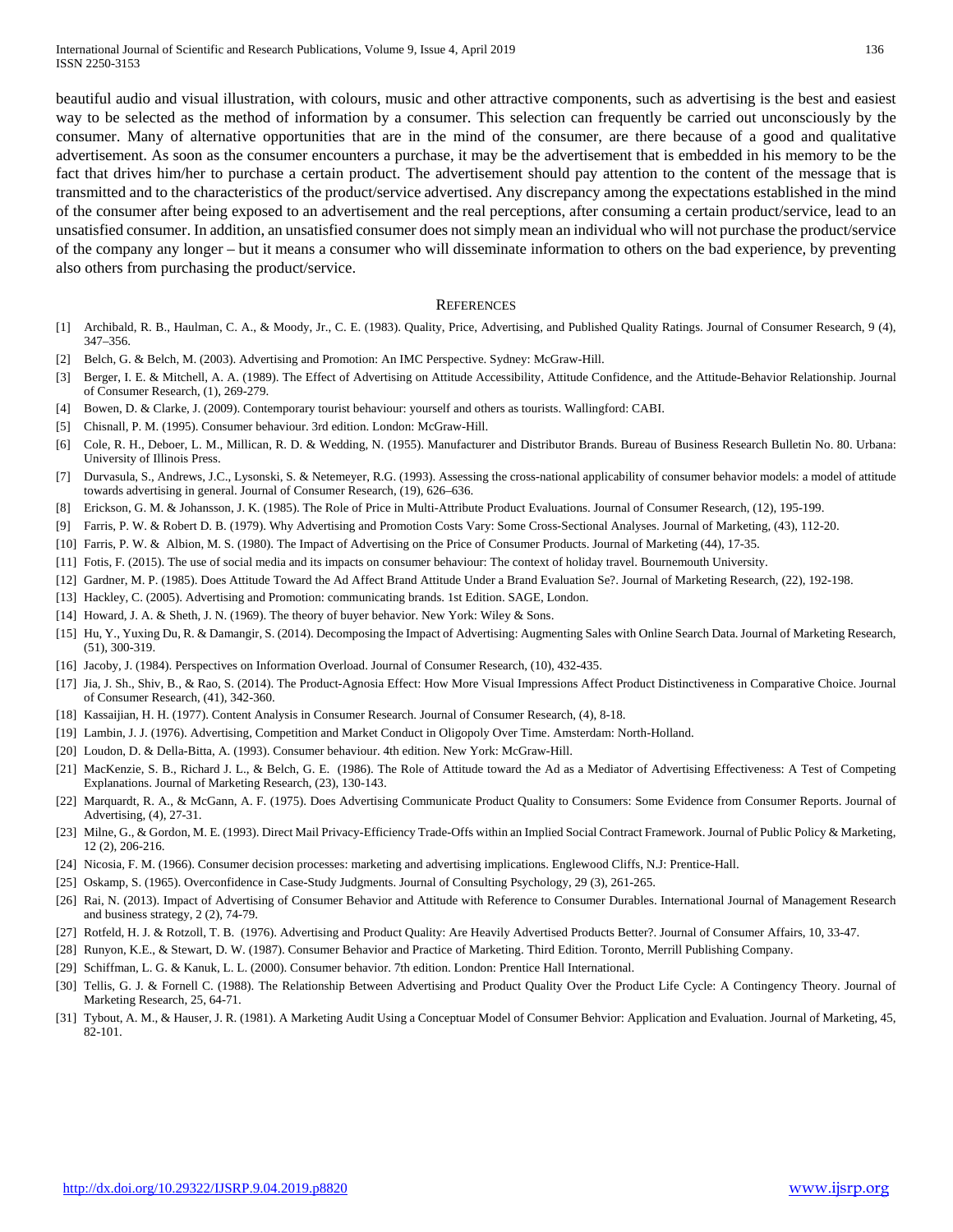beautiful audio and visual illustration, with colours, music and other attractive components, such as advertising is the best and easiest way to be selected as the method of information by a consumer. This selection can frequently be carried out unconsciously by the consumer. Many of alternative opportunities that are in the mind of the consumer, are there because of a good and qualitative advertisement. As soon as the consumer encounters a purchase, it may be the advertisement that is embedded in his memory to be the fact that drives him/her to purchase a certain product. The advertisement should pay attention to the content of the message that is transmitted and to the characteristics of the product/service advertised. Any discrepancy among the expectations established in the mind of the consumer after being exposed to an advertisement and the real perceptions, after consuming a certain product/service, lead to an unsatisfied consumer. In addition, an unsatisfied consumer does not simply mean an individual who will not purchase the product/service of the company any longer – but it means a consumer who will disseminate information to others on the bad experience, by preventing also others from purchasing the product/service.

#### **REFERENCES**

- [1] Archibald, R. B., Haulman, C. A., & Moody, Jr., C. E. (1983). Quality, Price, Advertising, and Published Quality Ratings. Journal of Consumer Research, 9 (4), 347–356.
- [2] Belch, G. & Belch, M. (2003). Advertising and Promotion: An IMC Perspective. Sydney: McGraw-Hill.
- [3] Berger, I. E. & Mitchell, A. A. (1989). The Effect of Advertising on Attitude Accessibility, Attitude Confidence, and the Attitude-Behavior Relationship. Journal of Consumer Research, (1), 269-279.
- [4] Bowen, D. & Clarke, J. (2009). Contemporary tourist behaviour: yourself and others as tourists. Wallingford: CABI.
- [5] Chisnall, P. M. (1995). Consumer behaviour. 3rd edition. London: McGraw-Hill.
- [6] Cole, R. H., Deboer, L. M., Millican, R. D. & Wedding, N. (1955). Manufacturer and Distributor Brands. Bureau of Business Research Bulletin No. 80. Urbana: University of Illinois Press.
- [7] Durvasula, S., Andrews, J.C., Lysonski, S. & Netemeyer, R.G. (1993). Assessing the cross-national applicability of consumer behavior models: a model of attitude towards advertising in general. Journal of Consumer Research, (19), 626–636.
- [8] Erickson, G. M. & Johansson, J. K. (1985). The Role of Price in Multi-Attribute Product Evaluations. Journal of Consumer Research, (12), 195-199.
- [9] Farris, P. W. & Robert D. B. (1979). Why Advertising and Promotion Costs Vary: Some Cross-Sectional Analyses. Journal of Marketing, (43), 112-20.
- [10] Farris, P. W. & Albion, M. S. (1980). The Impact of Advertising on the Price of Consumer Products. Journal of Marketing (44), 17-35.
- [11] Fotis, F. (2015). The use of social media and its impacts on consumer behaviour: The context of holiday travel. Bournemouth University.
- [12] Gardner, M. P. (1985). Does Attitude Toward the Ad Affect Brand Attitude Under a Brand Evaluation Se?. Journal of Marketing Research, (22), 192-198.
- [13] Hackley, C. (2005). Advertising and Promotion: communicating brands. 1st Edition. SAGE, London.
- [14] Howard, J. A. & Sheth, J. N. (1969). The theory of buyer behavior. New York: Wiley & Sons.
- [15] Hu, Y., Yuxing Du, R. & Damangir, S. (2014). Decomposing the Impact of Advertising: Augmenting Sales with Online Search Data. Journal of Marketing Research, (51), 300-319.
- [16] Jacoby, J. (1984). Perspectives on Information Overload. Journal of Consumer Research, (10), 432-435.
- [17] Jia, J. Sh., Shiv, B., & Rao, S. (2014). The Product-Agnosia Effect: How More Visual Impressions Affect Product Distinctiveness in Comparative Choice. Journal of Consumer Research, (41), 342-360.
- [18] Kassaijian, H. H. (1977). Content Analysis in Consumer Research. Journal of Consumer Research, (4), 8-18.
- [19] Lambin, J. J. (1976). Advertising, Competition and Market Conduct in Oligopoly Over Time. Amsterdam: North-Holland.
- [20] Loudon, D. & Della-Bitta, A. (1993). Consumer behaviour. 4th edition. New York: McGraw-Hill.
- [21] MacKenzie, S. B., Richard J. L., & Belch, G. E. (1986). The Role of Attitude toward the Ad as a Mediator of Advertising Effectiveness: A Test of Competing Explanations. Journal of Marketing Research, (23), 130-143.
- [22] Marquardt, R. A., & McGann, A. F. (1975). Does Advertising Communicate Product Quality to Consumers: Some Evidence from Consumer Reports. Journal of Advertising, (4), 27-31.
- [23] Milne, G., & Gordon, M. E. (1993). Direct Mail Privacy-Efficiency Trade-Offs within an Implied Social Contract Framework. Journal of Public Policy & Marketing, 12 (2), 206-216.
- [24] Nicosia, F. M. (1966). Consumer decision processes: marketing and advertising implications. Englewood Cliffs, N.J: Prentice-Hall.
- [25] Oskamp, S. (1965). Overconfidence in Case-Study Judgments. Journal of Consulting Psychology, 29 (3), 261-265.
- [26] Rai, N. (2013). Impact of Advertising of Consumer Behavior and Attitude with Reference to Consumer Durables. International Journal of Management Research and business strategy, 2 (2), 74-79.
- [27] Rotfeld, H. J. & Rotzoll, T. B. (1976). Advertising and Product Quality: Are Heavily Advertised Products Better?. Journal of Consumer Affairs, 10, 33-47.
- [28] Runyon, K.E., & Stewart, D. W. (1987). Consumer Behavior and Practice of Marketing. Third Edition. Toronto, Merrill Publishing Company.
- [29] Schiffman, L. G. & Kanuk, L. L. (2000). Consumer behavior. 7th edition. London: Prentice Hall International.
- [30] Tellis, G. J. & Fornell C. (1988). The Relationship Between Advertising and Product Quality Over the Product Life Cycle: A Contingency Theory. Journal of Marketing Research, 25, 64-71.
- [31] Tybout, A. M., & Hauser, J. R. (1981). A Marketing Audit Using a Conceptuar Model of Consumer Behvior: Application and Evaluation. Journal of Marketing, 45, 82-101.